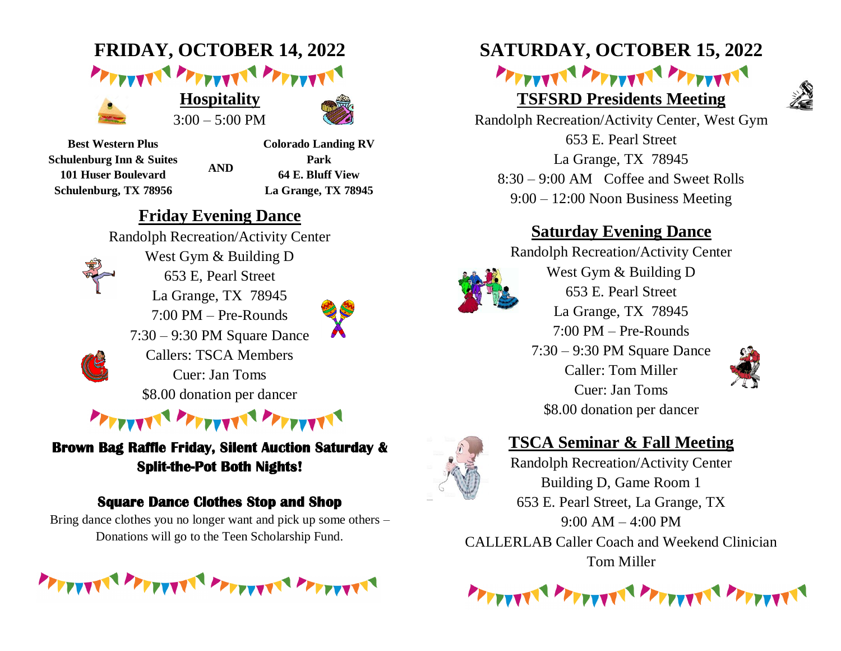# **FRIDAY, OCTOBER 14, 2022** PETTYVNI PETTYVNI PETTYVNI



**Hospitality**  $3:00 - 5:00 \text{ PM}$ 



**Best Western Plus Schulenburg Inn & Suites 101 Huser Boulevard Schulenburg, TX 78956**

**Colorado Landing RV Park 64 E. Bluff View La Grange, TX 78945**

## **Friday Evening Dance**

**AND**

Randolph Recreation/Activity Center West Gym & Building D 653 E, Pearl Street La Grange, TX 78945 7:00 PM – Pre-Rounds 7:30 – 9:30 PM Square Dance Callers: TSCA Members Cuer: Jan Toms \$8.00 donation per dancer



**Brown Bag Raffle Friday, Silent Auction Saturday & Split-the-Pot Both Nights!**

#### **Square Dance Clothes Stop and Shop**

Bring dance clothes you no longer want and pick up some others – Donations will go to the Teen Scholarship Fund.

**NEXT THE PERSON AND LOW PROPERTY** 

# **SATURDAY, OCTOBER 15, 2022**

## PETTYPER PETTYPER PETTYPER **TSFSRD Presidents Meeting**



Randolph Recreation/Activity Center, West Gym 653 E. Pearl Street La Grange, TX 78945 8:30 – 9:00 AM Coffee and Sweet Rolls 9:00 – 12:00 Noon Business Meeting

### **Saturday Evening Dance**

Randolph Recreation/Activity Center West Gym & Building D 653 E. Pearl Street La Grange, TX 78945 7:00 PM – Pre-Rounds 7:30 – 9:30 PM Square Dance Caller: Tom Miller Cuer: Jan Toms \$8.00 donation per dancer



### **TSCA Seminar & Fall Meeting**

Randolph Recreation/Activity Center Building D, Game Room 1 653 E. Pearl Street, La Grange, TX  $9:00$  AM  $-4:00$  PM CALLERLAB Caller Coach and Weekend Clinician Tom Miller